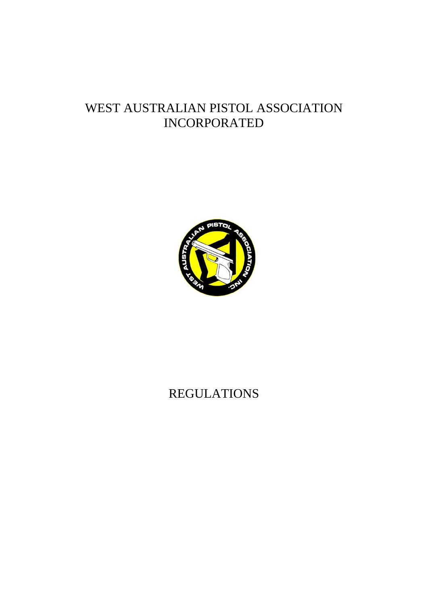# WEST AUSTRALIAN PISTOL ASSOCIATION INCORPORATED



# REGULATIONS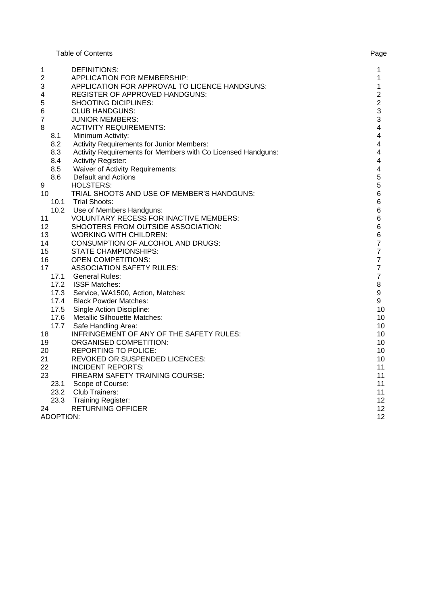Table of Contents **Page** 

| 1                | DEFINITIONS:                                                 | 1                       |
|------------------|--------------------------------------------------------------|-------------------------|
| 2                | APPLICATION FOR MEMBERSHIP:                                  | $\mathbf{1}$            |
| 3                | APPLICATION FOR APPROVAL TO LICENCE HANDGUNS:                | $\mathbf{1}$            |
| 4                | <b>REGISTER OF APPROVED HANDGUNS:</b>                        | $\overline{\mathbf{c}}$ |
| 5                | SHOOTING DICIPLINES:                                         | $\overline{c}$          |
| 6                | <b>CLUB HANDGUNS:</b>                                        | 3                       |
| 7                | <b>JUNIOR MEMBERS:</b>                                       | 3                       |
| 8                | <b>ACTIVITY REQUIREMENTS:</b>                                | $\overline{\mathbf{4}}$ |
| 8.1              | Minimum Activity:                                            | $\overline{\mathbf{4}}$ |
| 8.2              | Activity Requirements for Junior Members:                    | $\overline{\mathbf{4}}$ |
| 8.3              | Activity Requirements for Members with Co Licensed Handguns: | 4                       |
| 8.4              | <b>Activity Register:</b>                                    | 4                       |
| 8.5              | <b>Waiver of Activity Requirements:</b>                      | $\overline{\mathbf{4}}$ |
| 8.6              | <b>Default and Actions</b>                                   | 5                       |
| 9                | <b>HOLSTERS:</b>                                             | 5                       |
| 10               | TRIAL SHOOTS AND USE OF MEMBER'S HANDGUNS:                   | $\,6$                   |
| 10.1             | <b>Trial Shoots:</b>                                         | $\,6$                   |
| 10.2             | Use of Members Handguns:                                     | $\,6$                   |
| 11               | <b>VOLUNTARY RECESS FOR INACTIVE MEMBERS:</b>                | $\,6\,$                 |
| 12               | SHOOTERS FROM OUTSIDE ASSOCIATION:                           | $\,6\,$                 |
| 13               | <b>WORKING WITH CHILDREN:</b>                                | $\,6$                   |
| 14               | <b>CONSUMPTION OF ALCOHOL AND DRUGS:</b>                     | $\overline{7}$          |
| 15               | STATE CHAMPIONSHIPS:                                         | $\overline{\mathbf{7}}$ |
| 16               | <b>OPEN COMPETITIONS:</b>                                    | $\boldsymbol{7}$        |
| 17               | <b>ASSOCIATION SAFETY RULES:</b>                             | $\overline{7}$          |
|                  | 17.1 General Rules:                                          | $\boldsymbol{7}$        |
|                  | 17.2 ISSF Matches:                                           | 8                       |
|                  | 17.3 Service, WA1500, Action, Matches:                       | $\boldsymbol{9}$        |
|                  | 17.4 Black Powder Matches:                                   | 9                       |
|                  | 17.5 Single Action Discipline:                               | 10                      |
|                  | 17.6 Metallic Silhouette Matches:                            | 10                      |
| 17.7             | Safe Handling Area:                                          | 10                      |
| 18               | INFRINGEMENT OF ANY OF THE SAFETY RULES:                     | 10                      |
| 19               | <b>ORGANISED COMPETITION:</b>                                | 10                      |
| 20               | <b>REPORTING TO POLICE:</b>                                  | 10                      |
| 21               | REVOKED OR SUSPENDED LICENCES:                               | 10                      |
| 22               | <b>INCIDENT REPORTS:</b>                                     | 11                      |
| 23               | FIREARM SAFETY TRAINING COURSE:                              | 11                      |
|                  | 23.1 Scope of Course:                                        | 11                      |
|                  | 23.2 Club Trainers:                                          | 11                      |
|                  | 23.3 Training Register:                                      | 12                      |
| 24               | <b>RETURNING OFFICER</b>                                     | 12                      |
| <b>ADOPTION:</b> |                                                              | 12                      |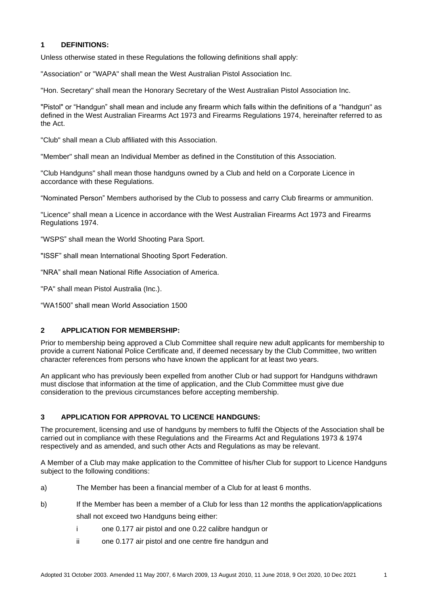## **1 DEFINITIONS:**

Unless otherwise stated in these Regulations the following definitions shall apply:

"Association" or "WAPA" shall mean the West Australian Pistol Association Inc.

"Hon. Secretary" shall mean the Honorary Secretary of the West Australian Pistol Association Inc.

"Pistol" or "Handgun" shall mean and include any firearm which falls within the definitions of a "handgun" as defined in the West Australian Firearms Act 1973 and Firearms Regulations 1974, hereinafter referred to as the Act.

"Club" shall mean a Club affiliated with this Association.

"Member" shall mean an Individual Member as defined in the Constitution of this Association.

"Club Handguns" shall mean those handguns owned by a Club and held on a Corporate Licence in accordance with these Regulations.

"Nominated Person" Members authorised by the Club to possess and carry Club firearms or ammunition.

"Licence" shall mean a Licence in accordance with the West Australian Firearms Act 1973 and Firearms Regulations 1974.

"WSPS" shall mean the World Shooting Para Sport.

"ISSF" shall mean International Shooting Sport Federation.

"NRA" shall mean National Rifle Association of America.

"PA" shall mean Pistol Australia (Inc.).

"WA1500" shall mean World Association 1500

## **2 APPLICATION FOR MEMBERSHIP:**

Prior to membership being approved a Club Committee shall require new adult applicants for membership to provide a current National Police Certificate and, if deemed necessary by the Club Committee, two written character references from persons who have known the applicant for at least two years.

An applicant who has previously been expelled from another Club or had support for Handguns withdrawn must disclose that information at the time of application, and the Club Committee must give due consideration to the previous circumstances before accepting membership.

## **3 APPLICATION FOR APPROVAL TO LICENCE HANDGUNS:**

The procurement, licensing and use of handguns by members to fulfil the Objects of the Association shall be carried out in compliance with these Regulations and the Firearms Act and Regulations 1973 & 1974 respectively and as amended, and such other Acts and Regulations as may be relevant.

A Member of a Club may make application to the Committee of his/her Club for support to Licence Handguns subject to the following conditions:

- a) The Member has been a financial member of a Club for at least 6 months.
- b) If the Member has been a member of a Club for less than 12 months the application/applications shall not exceed two Handguns being either:
	- i one 0.177 air pistol and one 0.22 calibre handgun or
	- ii one 0.177 air pistol and one centre fire handgun and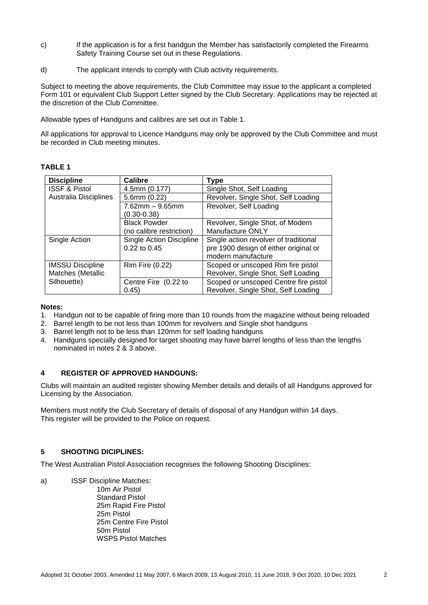- c) If the application is for a first handgun the Member has satisfactorily completed the Firearms Safety Training Course set out in these Regulations.
- d) The applicant intends to comply with Club activity requirements.

Subject to meeting the above requirements, the Club Committee may issue to the applicant a completed Form 101 or equivalent Club Support Letter signed by the Club Secretary. Applications may be rejected at the discretion of the Club Committee.

Allowable types of Handguns and calibres are set out in Table 1.

All applications for approval to Licence Handguns may only be approved by the Club Committee and must be recorded in Club meeting minutes.

## **TABLE 1**

| <b>Discipline</b>        | Calibre                         | <b>Type</b>                           |  |  |
|--------------------------|---------------------------------|---------------------------------------|--|--|
| <b>ISSF &amp; Pistol</b> | 4.5mm (0.177)                   | Single Shot, Self Loading             |  |  |
| Australia Disciplines    | 5.6mm (0.22)                    | Revolver, Single Shot, Self Loading   |  |  |
|                          | $7.62$ mm $-9.65$ mm            | Revolver, Self Loading                |  |  |
|                          | $(0.30 - 0.38)$                 |                                       |  |  |
|                          | <b>Black Powder</b>             | Revolver, Single Shot, of Modern      |  |  |
|                          | (no calibre restriction)        | Manufacture ONLY                      |  |  |
| Single Action            | <b>Single Action Discipline</b> | Single action revolver of traditional |  |  |
|                          | 0.22 to 0.45                    | pre 1900 design of either original or |  |  |
|                          |                                 | modern manufacture                    |  |  |
| <b>IMSSU Discipline</b>  | Rim Fire (0.22)                 | Scoped or unscoped Rim fire pistol    |  |  |
| Matches (Metallic        |                                 | Revolver, Single Shot, Self Loading   |  |  |
| Silhouette)              | Centre Fire (0.22 to            | Scoped or unscoped Centre fire pistol |  |  |
|                          | 0.45)                           | Revolver, Single Shot, Self Loading   |  |  |

#### **Notes:**

- 1. Handgun not to be capable of firing more than 10 rounds from the magazine without being reloaded
- 2. Barrel length to be not less than 100mm for revolvers and Single shot handguns
- 3. Barrel length not to be less than 120mm for self loading handguns
- 4. Handguns specially designed for target shooting may have barrel lengths of less than the lengths nominated in notes 2 & 3 above.

#### **4 REGISTER OF APPROVED HANDGUNS:**

Clubs will maintain an audited register showing Member details and details of all Handguns approved for Licensing by the Association.

Members must notify the Club Secretary of details of disposal of any Handgun within 14 days. This register will be provided to the Police on request.

## **5 SHOOTING DICIPLINES:**

The West Australian Pistol Association recognises the following Shooting Disciplines:

a) ISSF Discipline Matches:

10m Air Pistol Standard Pistol 25m Rapid Fire Pistol 25m Pistol 25m Centre Fire Pistol 50m Pistol WSPS Pistol Matches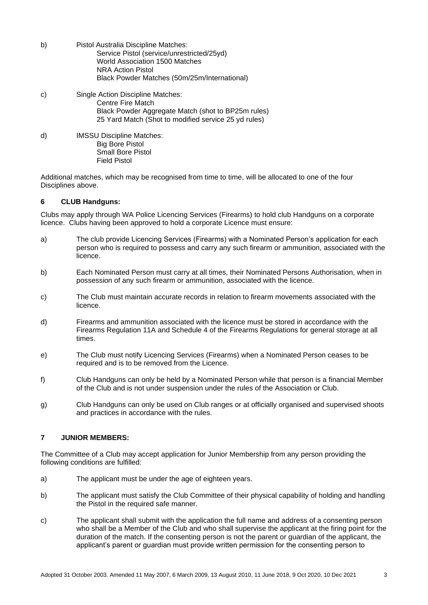| b) | Pistol Australia Discipline Matches:<br>Service Pistol (service/unrestricted/25yd)<br><b>World Association 1500 Matches</b><br><b>NRA Action Pistol</b><br>Black Powder Matches (50m/25m/International) |
|----|---------------------------------------------------------------------------------------------------------------------------------------------------------------------------------------------------------|
| C) | Single Action Discipline Matches:<br>Centre Fire Match<br>Black Powder Aggregate Match (shot to BP25m rules)<br>25 Yard Match (Shot to modified service 25 yd rules)                                    |
| d) | <b>IMSSU Discipline Matches:</b><br><b>Big Bore Pistol</b><br>Small Bore Pistol                                                                                                                         |

Additional matches, which may be recognised from time to time, will be allocated to one of the four Disciplines above.

#### **6 CLUB Handguns:**

Field Pistol

Clubs may apply through WA Police Licencing Services (Firearms) to hold club Handguns on a corporate licence. Clubs having been approved to hold a corporate Licence must ensure:

- a) The club provide Licencing Services (Firearms) with a Nominated Person's application for each person who is required to possess and carry any such firearm or ammunition, associated with the licence.
- b) Each Nominated Person must carry at all times, their Nominated Persons Authorisation, when in possession of any such firearm or ammunition, associated with the licence.
- c) The Club must maintain accurate records in relation to firearm movements associated with the licence.
- d) Firearms and ammunition associated with the licence must be stored in accordance with the Firearms Regulation 11A and Schedule 4 of the Firearms Regulations for general storage at all times.
- e) The Club must notify Licencing Services (Firearms) when a Nominated Person ceases to be required and is to be removed from the Licence.
- f) Club Handguns can only be held by a Nominated Person while that person is a financial Member of the Club and is not under suspension under the rules of the Association or Club.
- g) Club Handguns can only be used on Club ranges or at officially organised and supervised shoots and practices in accordance with the rules.

#### **7 JUNIOR MEMBERS:**

The Committee of a Club may accept application for Junior Membership from any person providing the following conditions are fulfilled:

- a) The applicant must be under the age of eighteen years.
- b) The applicant must satisfy the Club Committee of their physical capability of holding and handling the Pistol in the required safe manner.
- c) The applicant shall submit with the application the full name and address of a consenting person who shall be a Member of the Club and who shall supervise the applicant at the firing point for the duration of the match. If the consenting person is not the parent or guardian of the applicant, the applicant's parent or guardian must provide written permission for the consenting person to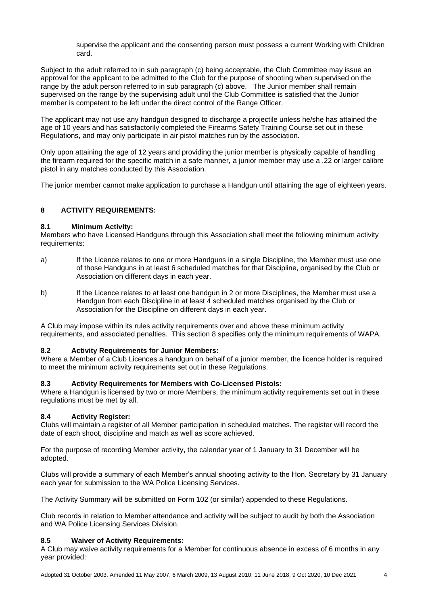supervise the applicant and the consenting person must possess a current Working with Children card.

Subject to the adult referred to in sub paragraph (c) being acceptable, the Club Committee may issue an approval for the applicant to be admitted to the Club for the purpose of shooting when supervised on the range by the adult person referred to in sub paragraph (c) above. The Junior member shall remain supervised on the range by the supervising adult until the Club Committee is satisfied that the Junior member is competent to be left under the direct control of the Range Officer.

The applicant may not use any handgun designed to discharge a projectile unless he/she has attained the age of 10 years and has satisfactorily completed the Firearms Safety Training Course set out in these Regulations, and may only participate in air pistol matches run by the association.

Only upon attaining the age of 12 years and providing the junior member is physically capable of handling the firearm required for the specific match in a safe manner, a junior member may use a .22 or larger calibre pistol in any matches conducted by this Association.

The junior member cannot make application to purchase a Handgun until attaining the age of eighteen years.

# **8 ACTIVITY REQUIREMENTS:**

#### **8.1 Minimum Activity:**

Members who have Licensed Handguns through this Association shall meet the following minimum activity requirements:

- a) If the Licence relates to one or more Handguns in a single Discipline, the Member must use one of those Handguns in at least 6 scheduled matches for that Discipline, organised by the Club or Association on different days in each year.
- b) If the Licence relates to at least one handgun in 2 or more Disciplines, the Member must use a Handgun from each Discipline in at least 4 scheduled matches organised by the Club or Association for the Discipline on different days in each year.

A Club may impose within its rules activity requirements over and above these minimum activity requirements, and associated penalties. This section 8 specifies only the minimum requirements of WAPA.

## **8.2 Activity Requirements for Junior Members:**

Where a Member of a Club Licences a handgun on behalf of a junior member, the licence holder is required to meet the minimum activity requirements set out in these Regulations.

## **8.3 Activity Requirements for Members with Co-Licensed Pistols:**

Where a Handgun is licensed by two or more Members, the minimum activity requirements set out in these regulations must be met by all.

## **8.4 Activity Register:**

Clubs will maintain a register of all Member participation in scheduled matches. The register will record the date of each shoot, discipline and match as well as score achieved.

For the purpose of recording Member activity, the calendar year of 1 January to 31 December will be adopted.

Clubs will provide a summary of each Member's annual shooting activity to the Hon. Secretary by 31 January each year for submission to the WA Police Licensing Services.

The Activity Summary will be submitted on Form 102 (or similar) appended to these Regulations.

Club records in relation to Member attendance and activity will be subject to audit by both the Association and WA Police Licensing Services Division.

## **8.5 Waiver of Activity Requirements:**

A Club may waive activity requirements for a Member for continuous absence in excess of 6 months in any year provided: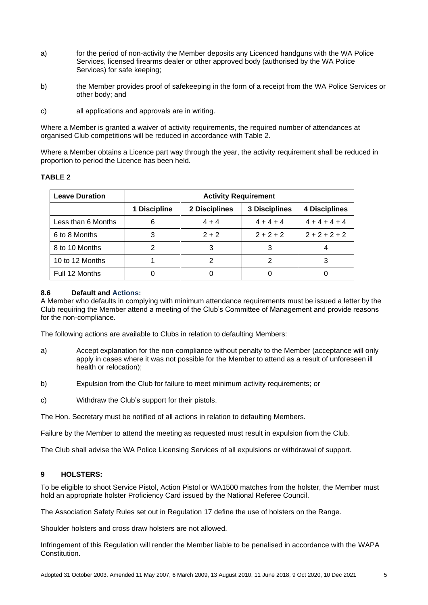- a) for the period of non-activity the Member deposits any Licenced handguns with the WA Police Services, licensed firearms dealer or other approved body (authorised by the WA Police Services) for safe keeping;
- b) the Member provides proof of safekeeping in the form of a receipt from the WA Police Services or other body; and
- c) all applications and approvals are in writing.

Where a Member is granted a waiver of activity requirements, the required number of attendances at organised Club competitions will be reduced in accordance with Table 2.

Where a Member obtains a Licence part way through the year, the activity requirement shall be reduced in proportion to period the Licence has been held.

## **TABLE 2**

| <b>Leave Duration</b> | <b>Activity Requirement</b> |               |                      |                      |  |
|-----------------------|-----------------------------|---------------|----------------------|----------------------|--|
|                       | 1 Discipline                | 2 Disciplines | <b>3 Disciplines</b> | <b>4 Disciplines</b> |  |
| Less than 6 Months    |                             | $4 + 4$       | $4 + 4 + 4$          | $4 + 4 + 4 + 4$      |  |
| 6 to 8 Months         | 3                           | $2 + 2$       | $2 + 2 + 2$          | $2 + 2 + 2 + 2$      |  |
| 8 to 10 Months        | ⌒                           | 3             | 3                    |                      |  |
| 10 to 12 Months       |                             |               |                      | 3                    |  |
| Full 12 Months        |                             |               |                      |                      |  |

#### **8.6 Default and Actions:**

A Member who defaults in complying with minimum attendance requirements must be issued a letter by the Club requiring the Member attend a meeting of the Club's Committee of Management and provide reasons for the non-compliance.

The following actions are available to Clubs in relation to defaulting Members:

- a) Accept explanation for the non-compliance without penalty to the Member (acceptance will only apply in cases where it was not possible for the Member to attend as a result of unforeseen ill health or relocation);
- b) Expulsion from the Club for failure to meet minimum activity requirements; or
- c) Withdraw the Club's support for their pistols.

The Hon. Secretary must be notified of all actions in relation to defaulting Members.

Failure by the Member to attend the meeting as requested must result in expulsion from the Club.

The Club shall advise the WA Police Licensing Services of all expulsions or withdrawal of support.

## **9 HOLSTERS:**

To be eligible to shoot Service Pistol, Action Pistol or WA1500 matches from the holster, the Member must hold an appropriate holster Proficiency Card issued by the National Referee Council.

The Association Safety Rules set out in Regulation 17 define the use of holsters on the Range.

Shoulder holsters and cross draw holsters are not allowed.

Infringement of this Regulation will render the Member liable to be penalised in accordance with the WAPA Constitution.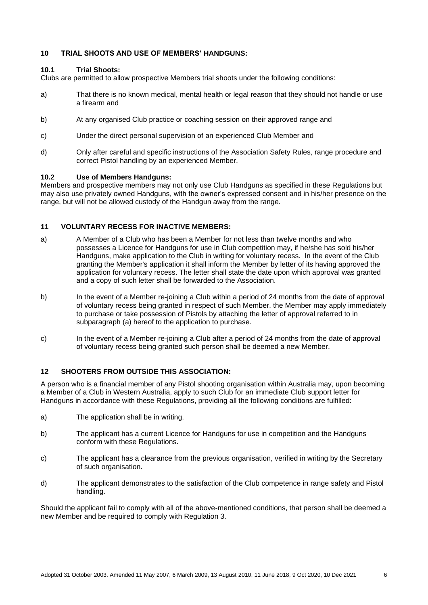## **10 TRIAL SHOOTS AND USE OF MEMBERS' HANDGUNS:**

# **10.1 Trial Shoots:**

Clubs are permitted to allow prospective Members trial shoots under the following conditions:

- a) That there is no known medical, mental health or legal reason that they should not handle or use a firearm and
- b) At any organised Club practice or coaching session on their approved range and
- c) Under the direct personal supervision of an experienced Club Member and
- d) Only after careful and specific instructions of the Association Safety Rules, range procedure and correct Pistol handling by an experienced Member.

#### **10.2 Use of Members Handguns:**

Members and prospective members may not only use Club Handguns as specified in these Regulations but may also use privately owned Handguns, with the owner's expressed consent and in his/her presence on the range, but will not be allowed custody of the Handgun away from the range.

#### **11 VOLUNTARY RECESS FOR INACTIVE MEMBERS:**

- a) A Member of a Club who has been a Member for not less than twelve months and who possesses a Licence for Handguns for use in Club competition may, if he/she has sold his/her Handguns, make application to the Club in writing for voluntary recess. In the event of the Club granting the Member's application it shall inform the Member by letter of its having approved the application for voluntary recess. The letter shall state the date upon which approval was granted and a copy of such letter shall be forwarded to the Association.
- b) In the event of a Member re-joining a Club within a period of 24 months from the date of approval of voluntary recess being granted in respect of such Member, the Member may apply immediately to purchase or take possession of Pistols by attaching the letter of approval referred to in subparagraph (a) hereof to the application to purchase.
- c) In the event of a Member re-joining a Club after a period of 24 months from the date of approval of voluntary recess being granted such person shall be deemed a new Member.

## **12 SHOOTERS FROM OUTSIDE THIS ASSOCIATION:**

A person who is a financial member of any Pistol shooting organisation within Australia may, upon becoming a Member of a Club in Western Australia, apply to such Club for an immediate Club support letter for Handguns in accordance with these Regulations, providing all the following conditions are fulfilled:

- a) The application shall be in writing.
- b) The applicant has a current Licence for Handguns for use in competition and the Handguns conform with these Regulations.
- c) The applicant has a clearance from the previous organisation, verified in writing by the Secretary of such organisation.
- d) The applicant demonstrates to the satisfaction of the Club competence in range safety and Pistol handling.

Should the applicant fail to comply with all of the above-mentioned conditions, that person shall be deemed a new Member and be required to comply with Regulation 3.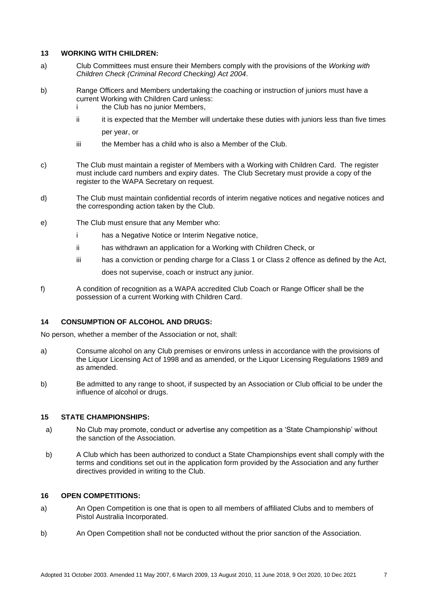#### **13 WORKING WITH CHILDREN:**

- a) Club Committees must ensure their Members comply with the provisions of the *Working with Children Check (Criminal Record Checking) Act 2004*.
- b) Range Officers and Members undertaking the coaching or instruction of juniors must have a current Working with Children Card unless: i the Club has no junior Members,
	- ii it is expected that the Member will undertake these duties with juniors less than five times per year, or
	- iii the Member has a child who is also a Member of the Club.
- c) The Club must maintain a register of Members with a Working with Children Card. The register must include card numbers and expiry dates. The Club Secretary must provide a copy of the register to the WAPA Secretary on request.
- d) The Club must maintain confidential records of interim negative notices and negative notices and the corresponding action taken by the Club.
- e) The Club must ensure that any Member who:
	- i has a Negative Notice or Interim Negative notice,
	- ii has withdrawn an application for a Working with Children Check, or
	- iii has a conviction or pending charge for a Class 1 or Class 2 offence as defined by the Act, does not supervise, coach or instruct any junior.
- f) A condition of recognition as a WAPA accredited Club Coach or Range Officer shall be the possession of a current Working with Children Card.

## **14 CONSUMPTION OF ALCOHOL AND DRUGS:**

No person, whether a member of the Association or not, shall:

- a) Consume alcohol on any Club premises or environs unless in accordance with the provisions of the Liquor Licensing Act of 1998 and as amended, or the Liquor Licensing Regulations 1989 and as amended.
- b) Be admitted to any range to shoot, if suspected by an Association or Club official to be under the influence of alcohol or drugs.

## **15 STATE CHAMPIONSHIPS:**

- a) No Club may promote, conduct or advertise any competition as a 'State Championship' without the sanction of the Association.
- b) A Club which has been authorized to conduct a State Championships event shall comply with the terms and conditions set out in the application form provided by the Association and any further directives provided in writing to the Club.

## **16 OPEN COMPETITIONS:**

- a) An Open Competition is one that is open to all members of affiliated Clubs and to members of Pistol Australia Incorporated.
- b) An Open Competition shall not be conducted without the prior sanction of the Association.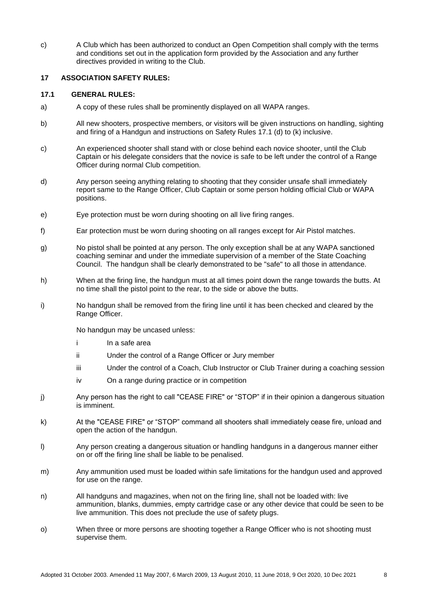c) A Club which has been authorized to conduct an Open Competition shall comply with the terms and conditions set out in the application form provided by the Association and any further directives provided in writing to the Club.

#### **17 ASSOCIATION SAFETY RULES:**

#### **17.1 GENERAL RULES:**

- a) A copy of these rules shall be prominently displayed on all WAPA ranges.
- b) All new shooters, prospective members, or visitors will be given instructions on handling, sighting and firing of a Handgun and instructions on Safety Rules 17.1 (d) to (k) inclusive.
- c) An experienced shooter shall stand with or close behind each novice shooter, until the Club Captain or his delegate considers that the novice is safe to be left under the control of a Range Officer during normal Club competition.
- d) Any person seeing anything relating to shooting that they consider unsafe shall immediately report same to the Range Officer, Club Captain or some person holding official Club or WAPA positions.
- e) Eye protection must be worn during shooting on all live firing ranges.
- f) Ear protection must be worn during shooting on all ranges except for Air Pistol matches.
- g) No pistol shall be pointed at any person. The only exception shall be at any WAPA sanctioned coaching seminar and under the immediate supervision of a member of the State Coaching Council. The handgun shall be clearly demonstrated to be "safe" to all those in attendance.
- h) When at the firing line, the handgun must at all times point down the range towards the butts. At no time shall the pistol point to the rear, to the side or above the butts.
- i) No handgun shall be removed from the firing line until it has been checked and cleared by the Range Officer.

No handgun may be uncased unless:

- i In a safe area
- ii Under the control of a Range Officer or Jury member
- iii Under the control of a Coach, Club Instructor or Club Trainer during a coaching session
- iv On a range during practice or in competition
- j) Any person has the right to call "CEASE FIRE" or "STOP" if in their opinion a dangerous situation is imminent.
- k) At the "CEASE FIRE" or "STOP" command all shooters shall immediately cease fire, unload and open the action of the handgun.
- l) Any person creating a dangerous situation or handling handguns in a dangerous manner either on or off the firing line shall be liable to be penalised.
- m) Any ammunition used must be loaded within safe limitations for the handgun used and approved for use on the range.
- n) All handguns and magazines, when not on the firing line, shall not be loaded with: live ammunition, blanks, dummies, empty cartridge case or any other device that could be seen to be live ammunition. This does not preclude the use of safety plugs.
- o) When three or more persons are shooting together a Range Officer who is not shooting must supervise them.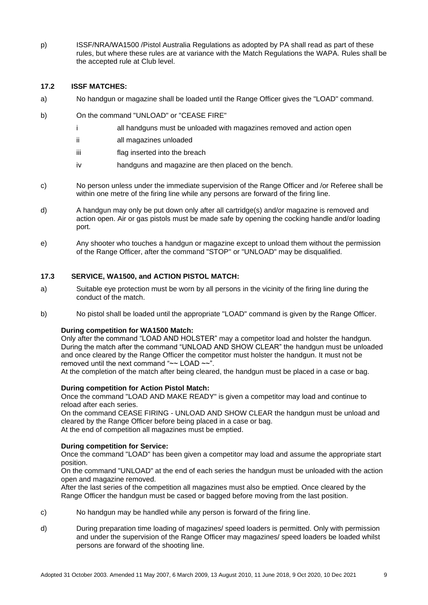p) ISSF/NRA/WA1500 /Pistol Australia Regulations as adopted by PA shall read as part of these rules, but where these rules are at variance with the Match Regulations the WAPA. Rules shall be the accepted rule at Club level.

## **17.2 ISSF MATCHES:**

- a) No handgun or magazine shall be loaded until the Range Officer gives the "LOAD" command.
- b) On the command "UNLOAD" or "CEASE FIRE"
	- i all handguns must be unloaded with magazines removed and action open
	- ii all magazines unloaded
	- iii flag inserted into the breach
	- iv handguns and magazine are then placed on the bench.
- c) No person unless under the immediate supervision of the Range Officer and /or Referee shall be within one metre of the firing line while any persons are forward of the firing line.
- d) A handgun may only be put down only after all cartridge(s) and/or magazine is removed and action open. Air or gas pistols must be made safe by opening the cocking handle and/or loading port.
- e) Any shooter who touches a handgun or magazine except to unload them without the permission of the Range Officer, after the command "STOP" or "UNLOAD" may be disqualified.

#### **17.3 SERVICE, WA1500, and ACTION PISTOL MATCH:**

- a) Suitable eye protection must be worn by all persons in the vicinity of the firing line during the conduct of the match.
- b) No pistol shall be loaded until the appropriate "LOAD" command is given by the Range Officer.

#### **During competition for WA1500 Match:**

Only after the command "LOAD AND HOLSTER" may a competitor load and holster the handgun. During the match after the command "UNLOAD AND SHOW CLEAR" the handgun must be unloaded and once cleared by the Range Officer the competitor must holster the handgun. It must not be removed until the next command "~~ LOAD ~~".

At the completion of the match after being cleared, the handgun must be placed in a case or bag.

#### **During competition for Action Pistol Match:**

Once the command "LOAD AND MAKE READY" is given a competitor may load and continue to reload after each series.

On the command CEASE FIRING - UNLOAD AND SHOW CLEAR the handgun must be unload and cleared by the Range Officer before being placed in a case or bag. At the end of competition all magazines must be emptied.

#### **During competition for Service:**

Once the command "LOAD" has been given a competitor may load and assume the appropriate start position.

On the command "UNLOAD" at the end of each series the handgun must be unloaded with the action open and magazine removed.

After the last series of the competition all magazines must also be emptied. Once cleared by the Range Officer the handgun must be cased or bagged before moving from the last position.

- c) No handgun may be handled while any person is forward of the firing line.
- d) During preparation time loading of magazines/ speed loaders is permitted. Only with permission and under the supervision of the Range Officer may magazines/ speed loaders be loaded whilst persons are forward of the shooting line.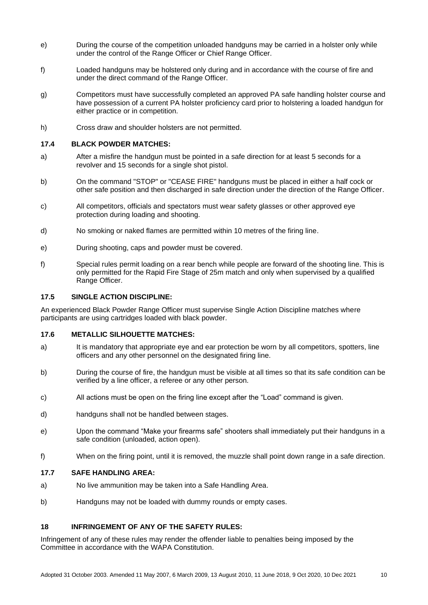- e) During the course of the competition unloaded handguns may be carried in a holster only while under the control of the Range Officer or Chief Range Officer.
- f) Loaded handguns may be holstered only during and in accordance with the course of fire and under the direct command of the Range Officer.
- g) Competitors must have successfully completed an approved PA safe handling holster course and have possession of a current PA holster proficiency card prior to holstering a loaded handgun for either practice or in competition.
- h) Cross draw and shoulder holsters are not permitted.

#### **17.4 BLACK POWDER MATCHES:**

- a) After a misfire the handgun must be pointed in a safe direction for at least 5 seconds for a revolver and 15 seconds for a single shot pistol.
- b) On the command "STOP" or "CEASE FIRE" handguns must be placed in either a half cock or other safe position and then discharged in safe direction under the direction of the Range Officer.
- c) All competitors, officials and spectators must wear safety glasses or other approved eye protection during loading and shooting.
- d) No smoking or naked flames are permitted within 10 metres of the firing line.
- e) During shooting, caps and powder must be covered.
- f) Special rules permit loading on a rear bench while people are forward of the shooting line. This is only permitted for the Rapid Fire Stage of 25m match and only when supervised by a qualified Range Officer.

#### **17.5 SINGLE ACTION DISCIPLINE:**

An experienced Black Powder Range Officer must supervise Single Action Discipline matches where participants are using cartridges loaded with black powder.

#### **17.6 METALLIC SILHOUETTE MATCHES:**

- a) It is mandatory that appropriate eye and ear protection be worn by all competitors, spotters, line officers and any other personnel on the designated firing line.
- b) During the course of fire, the handgun must be visible at all times so that its safe condition can be verified by a line officer, a referee or any other person.
- c) All actions must be open on the firing line except after the "Load" command is given.
- d) handguns shall not be handled between stages.
- e) Upon the command "Make your firearms safe" shooters shall immediately put their handguns in a safe condition (unloaded, action open).
- f) When on the firing point, until it is removed, the muzzle shall point down range in a safe direction.

#### **17.7 SAFE HANDLING AREA:**

- a) No live ammunition may be taken into a Safe Handling Area.
- b) Handguns may not be loaded with dummy rounds or empty cases.

# **18 INFRINGEMENT OF ANY OF THE SAFETY RULES:**

Infringement of any of these rules may render the offender liable to penalties being imposed by the Committee in accordance with the WAPA Constitution.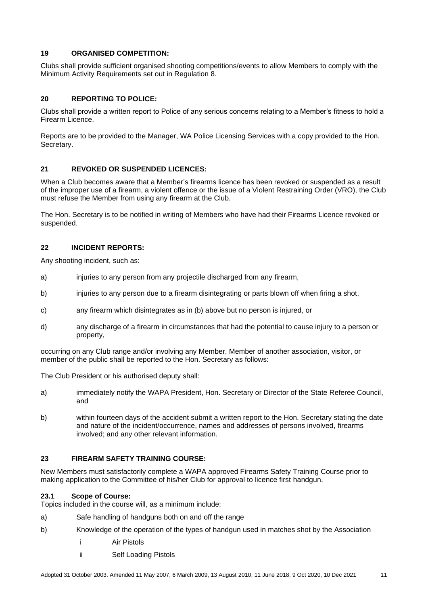## **19 ORGANISED COMPETITION:**

Clubs shall provide sufficient organised shooting competitions/events to allow Members to comply with the Minimum Activity Requirements set out in Regulation 8.

# **20 REPORTING TO POLICE:**

Clubs shall provide a written report to Police of any serious concerns relating to a Member's fitness to hold a Firearm Licence.

Reports are to be provided to the Manager, WA Police Licensing Services with a copy provided to the Hon. Secretary.

# **21 REVOKED OR SUSPENDED LICENCES:**

When a Club becomes aware that a Member's firearms licence has been revoked or suspended as a result of the improper use of a firearm, a violent offence or the issue of a Violent Restraining Order (VRO), the Club must refuse the Member from using any firearm at the Club.

The Hon. Secretary is to be notified in writing of Members who have had their Firearms Licence revoked or suspended.

# **22 INCIDENT REPORTS:**

Any shooting incident, such as:

- a) injuries to any person from any projectile discharged from any firearm,
- b) injuries to any person due to a firearm disintegrating or parts blown off when firing a shot,
- c) any firearm which disintegrates as in (b) above but no person is injured, or
- d) any discharge of a firearm in circumstances that had the potential to cause injury to a person or property,

occurring on any Club range and/or involving any Member, Member of another association, visitor, or member of the public shall be reported to the Hon. Secretary as follows:

The Club President or his authorised deputy shall:

- a) immediately notify the WAPA President, Hon. Secretary or Director of the State Referee Council, and
- b) within fourteen days of the accident submit a written report to the Hon. Secretary stating the date and nature of the incident/occurrence, names and addresses of persons involved, firearms involved; and any other relevant information.

## **23 FIREARM SAFETY TRAINING COURSE:**

New Members must satisfactorily complete a WAPA approved Firearms Safety Training Course prior to making application to the Committee of his/her Club for approval to licence first handgun.

## **23.1 Scope of Course:**

Topics included in the course will, as a minimum include:

- a) Safe handling of handguns both on and off the range
- b) Knowledge of the operation of the types of handgun used in matches shot by the Association
	- i Air Pistols
	- ii Self Loading Pistols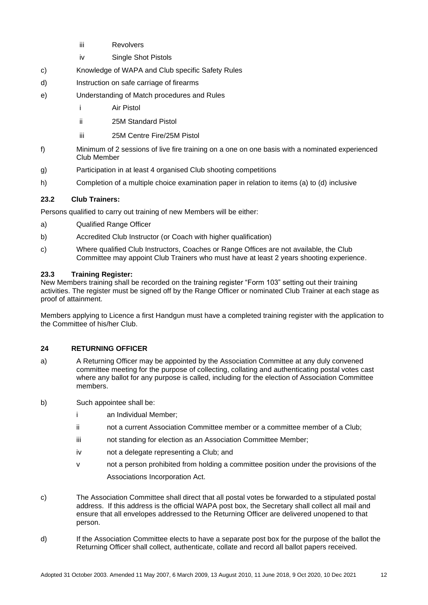- iii Revolvers
- iv Single Shot Pistols
- c) Knowledge of WAPA and Club specific Safety Rules
- d) Instruction on safe carriage of firearms
- e) Understanding of Match procedures and Rules
	- i Air Pistol
	- ii 25M Standard Pistol
	- iii 25M Centre Fire/25M Pistol
- f) Minimum of 2 sessions of live fire training on a one on one basis with a nominated experienced Club Member
- g) Participation in at least 4 organised Club shooting competitions
- h) Completion of a multiple choice examination paper in relation to items (a) to (d) inclusive

## **23.2 Club Trainers:**

Persons qualified to carry out training of new Members will be either:

- a) Qualified Range Officer
- b) Accredited Club Instructor (or Coach with higher qualification)
- c) Where qualified Club Instructors, Coaches or Range Offices are not available, the Club Committee may appoint Club Trainers who must have at least 2 years shooting experience.

## **23.3 Training Register:**

New Members training shall be recorded on the training register "Form 103" setting out their training activities. The register must be signed off by the Range Officer or nominated Club Trainer at each stage as proof of attainment.

Members applying to Licence a first Handgun must have a completed training register with the application to the Committee of his/her Club.

## **24 RETURNING OFFICER**

- a) A Returning Officer may be appointed by the Association Committee at any duly convened committee meeting for the purpose of collecting, collating and authenticating postal votes cast where any ballot for any purpose is called, including for the election of Association Committee members.
- b) Such appointee shall be:
	- i an Individual Member;
	- ii not a current Association Committee member or a committee member of a Club;
	- iii not standing for election as an Association Committee Member;
	- iv not a delegate representing a Club; and
	- v not a person prohibited from holding a committee position under the provisions of the Associations Incorporation Act.
- c) The Association Committee shall direct that all postal votes be forwarded to a stipulated postal address. If this address is the official WAPA post box, the Secretary shall collect all mail and ensure that all envelopes addressed to the Returning Officer are delivered unopened to that person.
- d) If the Association Committee elects to have a separate post box for the purpose of the ballot the Returning Officer shall collect, authenticate, collate and record all ballot papers received.